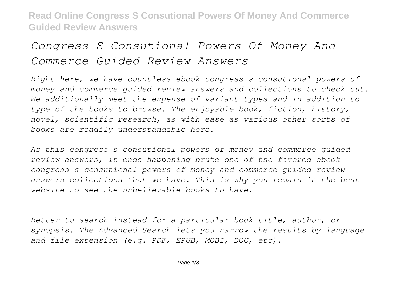# *Congress S Consutional Powers Of Money And Commerce Guided Review Answers*

*Right here, we have countless ebook congress s consutional powers of money and commerce guided review answers and collections to check out. We additionally meet the expense of variant types and in addition to type of the books to browse. The enjoyable book, fiction, history, novel, scientific research, as with ease as various other sorts of books are readily understandable here.*

*As this congress s consutional powers of money and commerce guided review answers, it ends happening brute one of the favored ebook congress s consutional powers of money and commerce guided review answers collections that we have. This is why you remain in the best website to see the unbelievable books to have.*

*Better to search instead for a particular book title, author, or synopsis. The Advanced Search lets you narrow the results by language and file extension (e.g. PDF, EPUB, MOBI, DOC, etc).*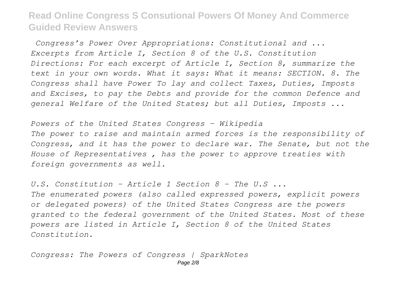*Congress's Power Over Appropriations: Constitutional and ... Excerpts from Article I, Section 8 of the U.S. Constitution Directions: For each excerpt of Article I, Section 8, summarize the text in your own words. What it says: What it means: SECTION. 8. The Congress shall have Power To lay and collect Taxes, Duties, Imposts and Excises, to pay the Debts and provide for the common Defence and general Welfare of the United States; but all Duties, Imposts ...*

*Powers of the United States Congress - Wikipedia The power to raise and maintain armed forces is the responsibility of Congress, and it has the power to declare war. The Senate, but not the House of Representatives , has the power to approve treaties with foreign governments as well.*

*U.S. Constitution - Article 1 Section 8 - The U.S ... The enumerated powers (also called expressed powers, explicit powers or delegated powers) of the United States Congress are the powers granted to the federal government of the United States. Most of these powers are listed in Article I, Section 8 of the United States Constitution.*

*Congress: The Powers of Congress | SparkNotes*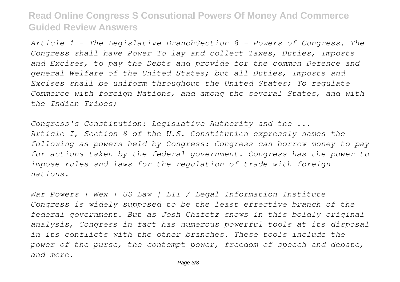*Article 1 - The Legislative BranchSection 8 - Powers of Congress. The Congress shall have Power To lay and collect Taxes, Duties, Imposts and Excises, to pay the Debts and provide for the common Defence and general Welfare of the United States; but all Duties, Imposts and Excises shall be uniform throughout the United States; To regulate Commerce with foreign Nations, and among the several States, and with the Indian Tribes;*

*Congress's Constitution: Legislative Authority and the ... Article I, Section 8 of the U.S. Constitution expressly names the following as powers held by Congress: Congress can borrow money to pay for actions taken by the federal government. Congress has the power to impose rules and laws for the regulation of trade with foreign nations.*

*War Powers | Wex | US Law | LII / Legal Information Institute Congress is widely supposed to be the least effective branch of the federal government. But as Josh Chafetz shows in this boldly original analysis, Congress in fact has numerous powerful tools at its disposal in its conflicts with the other branches. These tools include the power of the purse, the contempt power, freedom of speech and debate, and more.*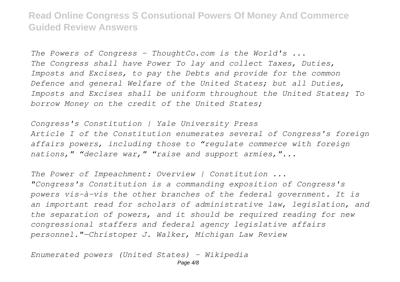*The Powers of Congress - ThoughtCo.com is the World's ... The Congress shall have Power To lay and collect Taxes, Duties, Imposts and Excises, to pay the Debts and provide for the common Defence and general Welfare of the United States; but all Duties, Imposts and Excises shall be uniform throughout the United States; To borrow Money on the credit of the United States;*

*Congress's Constitution | Yale University Press Article I of the Constitution enumerates several of Congress's foreign affairs powers, including those to "regulate commerce with foreign nations," "declare war," "raise and support armies,"...*

*The Power of Impeachment: Overview | Constitution ... "Congress's Constitution is a commanding exposition of Congress's powers vis-à-vis the other branches of the federal government. It is an important read for scholars of administrative law, legislation, and the separation of powers, and it should be required reading for new congressional staffers and federal agency legislative affairs personnel."—Christoper J. Walker, Michigan Law Review*

*Enumerated powers (United States) - Wikipedia*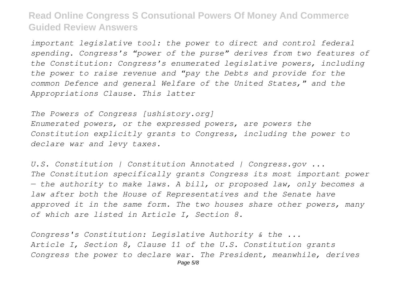*important legislative tool: the power to direct and control federal spending. Congress's "power of the purse" derives from two features of the Constitution: Congress's enumerated legislative powers, including the power to raise revenue and "pay the Debts and provide for the common Defence and general Welfare of the United States," and the Appropriations Clause. This latter*

*The Powers of Congress [ushistory.org] Enumerated powers, or the expressed powers, are powers the Constitution explicitly grants to Congress, including the power to declare war and levy taxes.*

*U.S. Constitution | Constitution Annotated | Congress.gov ... The Constitution specifically grants Congress its most important power — the authority to make laws. A bill, or proposed law, only becomes a law after both the House of Representatives and the Senate have approved it in the same form. The two houses share other powers, many of which are listed in Article I, Section 8.*

*Congress's Constitution: Legislative Authority & the ... Article I, Section 8, Clause 11 of the U.S. Constitution grants Congress the power to declare war. The President, meanwhile, derives*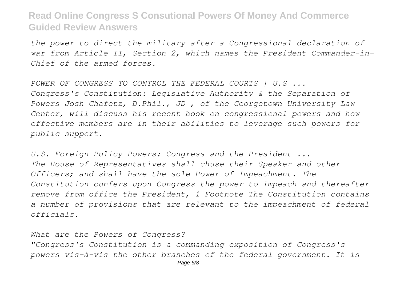*the power to direct the military after a Congressional declaration of war from Article II, Section 2, which names the President Commander-in-Chief of the armed forces.*

*POWER OF CONGRESS TO CONTROL THE FEDERAL COURTS | U.S ... Congress's Constitution: Legislative Authority & the Separation of Powers Josh Chafetz, D.Phil., JD , of the Georgetown University Law Center, will discuss his recent book on congressional powers and how effective members are in their abilities to leverage such powers for public support.*

*U.S. Foreign Policy Powers: Congress and the President ... The House of Representatives shall chuse their Speaker and other Officers; and shall have the sole Power of Impeachment. The Constitution confers upon Congress the power to impeach and thereafter remove from office the President, 1 Footnote The Constitution contains a number of provisions that are relevant to the impeachment of federal officials.*

*What are the Powers of Congress?*

*"Congress's Constitution is a commanding exposition of Congress's powers vis-à-vis the other branches of the federal government. It is*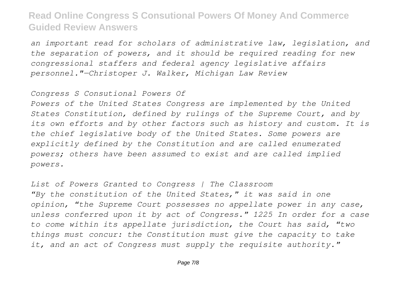*an important read for scholars of administrative law, legislation, and the separation of powers, and it should be required reading for new congressional staffers and federal agency legislative affairs personnel."—Christoper J. Walker, Michigan Law Review*

*Congress S Consutional Powers Of*

*Powers of the United States Congress are implemented by the United States Constitution, defined by rulings of the Supreme Court, and by its own efforts and by other factors such as history and custom. It is the chief legislative body of the United States. Some powers are explicitly defined by the Constitution and are called enumerated powers; others have been assumed to exist and are called implied powers.*

*List of Powers Granted to Congress | The Classroom "By the constitution of the United States," it was said in one opinion, "the Supreme Court possesses no appellate power in any case, unless conferred upon it by act of Congress." 1225 In order for a case to come within its appellate jurisdiction, the Court has said, "two things must concur: the Constitution must give the capacity to take it, and an act of Congress must supply the requisite authority."*